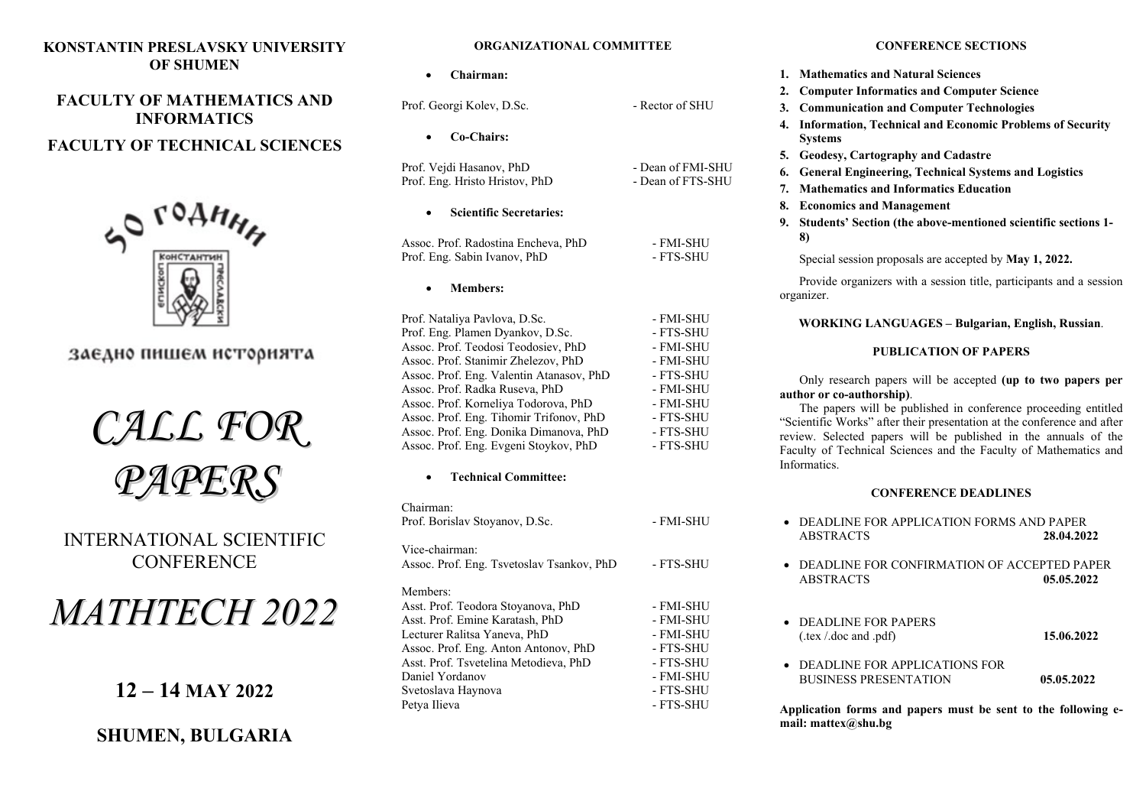### **KONSTANTIN PRESLAVSKY UNIVERSITY OF SHUMEN**

## **FACULTY OF MATHEMATICS AND INFORMATICS**

## **FACULTY OF TECHNICAL SCIENCES**



заедно пишем историята



INTERNATIONAL SCIENTIFIC **CONFERENCE** 

# *MATHTECH 2022*

**12 – 14 MAY 2022**

## **SHUMEN, BULGARIA**

#### **ORGANIZATIONAL COMMITTEE**

| Chairman:                                                                                                                                                                                                                                                                                                                                                                                                                          |                                                                                                                                |
|------------------------------------------------------------------------------------------------------------------------------------------------------------------------------------------------------------------------------------------------------------------------------------------------------------------------------------------------------------------------------------------------------------------------------------|--------------------------------------------------------------------------------------------------------------------------------|
| Prof. Georgi Kolev, D.Sc.                                                                                                                                                                                                                                                                                                                                                                                                          | - Rector of SHU                                                                                                                |
| Co-Chairs:                                                                                                                                                                                                                                                                                                                                                                                                                         |                                                                                                                                |
| Prof. Vejdi Hasanov, PhD<br>Prof. Eng. Hristo Hristov, PhD                                                                                                                                                                                                                                                                                                                                                                         | - Dean of FMI-SHU<br>- Dean of FTS-SHU                                                                                         |
| <b>Scientific Secretaries:</b>                                                                                                                                                                                                                                                                                                                                                                                                     |                                                                                                                                |
| Assoc. Prof. Radostina Encheva, PhD<br>Prof. Eng. Sabin Ivanov, PhD                                                                                                                                                                                                                                                                                                                                                                | - FMI-SHU<br>- FTS-SHU                                                                                                         |
| <b>Members:</b>                                                                                                                                                                                                                                                                                                                                                                                                                    |                                                                                                                                |
| Prof. Nataliya Pavlova, D.Sc.<br>Prof. Eng. Plamen Dyankov, D.Sc.<br>Assoc. Prof. Teodosi Teodosiev, PhD<br>Assoc. Prof. Stanimir Zhelezov, PhD<br>Assoc. Prof. Eng. Valentin Atanasov, PhD<br>Assoc. Prof. Radka Ruseva, PhD<br>Assoc. Prof. Korneliya Todorova, PhD<br>Assoc. Prof. Eng. Tihomir Trifonov, PhD<br>Assoc. Prof. Eng. Donika Dimanova, PhD<br>Assoc. Prof. Eng. Evgeni Stoykov, PhD<br><b>Technical Committee:</b> | - FMI-SHU<br>- FTS-SHU<br>- FMI-SHU<br>- FMI-SHU<br>- FTS-SHU<br>- FMI-SHU<br>- FMI-SHU<br>- FTS-SHU<br>- FTS-SHU<br>- FTS-SHU |
| Chairman:                                                                                                                                                                                                                                                                                                                                                                                                                          |                                                                                                                                |
| Prof. Borislav Stoyanov, D.Sc.                                                                                                                                                                                                                                                                                                                                                                                                     | - FMI-SHU                                                                                                                      |
| Vice-chairman:<br>Assoc. Prof. Eng. Tsvetoslav Tsankov, PhD                                                                                                                                                                                                                                                                                                                                                                        | - FTS-SHU                                                                                                                      |
| Members:<br>Asst. Prof. Teodora Stoyanova, PhD<br>Asst. Prof. Emine Karatash, PhD                                                                                                                                                                                                                                                                                                                                                  | - FMI-SHU<br>- FMI-SHU                                                                                                         |
| Lecturer Ralitsa Yaneva, PhD<br>Assoc. Prof. Eng. Anton Antonov, PhD<br>Asst. Prof. Tsvetelina Metodieva, PhD                                                                                                                                                                                                                                                                                                                      | - FMI-SHU<br>- FTS-SHU<br>- FTS-SHU                                                                                            |
| Daniel Yordanov<br>Svetoslava Haynova                                                                                                                                                                                                                                                                                                                                                                                              | - FMI-SHU<br>- FTS-SHU                                                                                                         |
| Petva Ilieva                                                                                                                                                                                                                                                                                                                                                                                                                       | - FTS-SHU                                                                                                                      |

#### **CONFERENCE SECTIONS**

- **1. Mathematics and Natural Sciences**
- **2. Computer Informatics and Computer Science**
- **3. Communication and Computer Technologies**
- **4. Information, Technical and Economic Problems of Security Systems**
- **5. Geodesy, Cartography and Cadastre**
- **6. General Engineering, Technical Systems and Logistics**
- **7. Mathematics and Informatics Education**
- **8. Economics and Management**
- **9. Students' Section (the above-mentioned scientific sections 1- 8)**

Special session proposals are accepted by **May 1, 2022.**

Provide organizers with a session title, participants and a session organizer.

**WORKING LANGUAGES – Bulgarian, English, Russian**.

#### **PUBLICATION OF PAPERS**

Only research papers will be accepted **(up to two papers per author or co-authorship)**.

The papers will be published in conference proceeding entitled "Scientific Works" after their presentation at the conference and after review. Selected papers will be published in the annuals of the Faculty of Technical Sciences and the Faculty of Mathematics and Informatics.

#### **CONFERENCE DEADLINES**

| $\bullet$ DEADLINE FOR APPLICATION FORMS AND PAPER<br><b>ABSTRACTS</b>    | 28.04.2022 |
|---------------------------------------------------------------------------|------------|
| $\bullet$ DEADLINE FOR CONFIRMATION OF ACCEPTED PAPER<br><b>ABSTRACTS</b> | 05.05.2022 |
| $\bullet$ DEADLINE FOR PAPERS<br>( $text / doc and .pdf$ ).               | 15.06.2022 |
| $\bullet$ DEADLINE FOR APPLICATIONS FOR<br><b>BUSINESS PRESENTATION</b>   | 05.05.2022 |

**Application forms and papers must be sent to the following email: matteх@shu.bg**